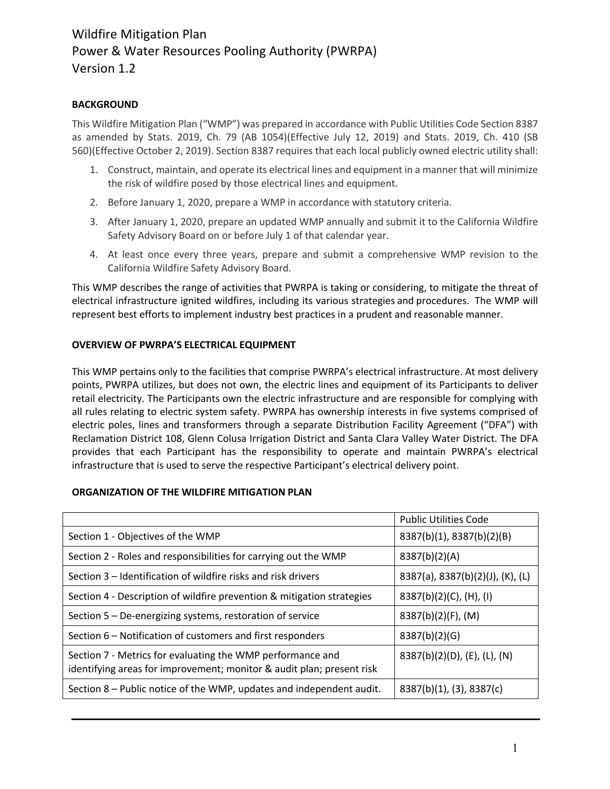### **BACKGROUND**

This Wildfire Mitigation Plan ("WMP") was prepared in accordance with Public Utilities Code Section 8387 as amended by Stats. 2019, Ch. 79 (AB 1054)(Effective July 12, 2019) and Stats. 2019, Ch. 410 (SB 560)(Effective October 2, 2019). Section 8387 requires that each local publicly owned electric utility shall:

- 1. Construct, maintain, and operate its electrical lines and equipment in a manner that will minimize the risk of wildfire posed by those electrical lines and equipment.
- 2. Before January 1, 2020, prepare a WMP in accordance with statutory criteria.
- 3. After January 1, 2020, prepare an updated WMP annually and submit it to the California Wildfire Safety Advisory Board on or before July 1 of that calendar year.
- 4. At least once every three years, prepare and submit a comprehensive WMP revision to the California Wildfire Safety Advisory Board.

This WMP describes the range of activities that PWRPA is taking or considering, to mitigate the threat of electrical infrastructure ignited wildfires, including its various strategies and procedures. The WMP will represent best efforts to implement industry best practices in a prudent and reasonable manner.

#### **OVERVIEW OF PWRPA'S ELECTRICAL EQUIPMENT**

This WMP pertains only to the facilities that comprise PWRPA's electrical infrastructure. At most delivery points, PWRPA utilizes, but does not own, the electric lines and equipment of its Participants to deliver retail electricity. The Participants own the electric infrastructure and are responsible for complying with all rules relating to electric system safety. PWRPA has ownership interests in five systems comprised of electric poles, lines and transformers through a separate Distribution Facility Agreement ("DFA") with Reclamation District 108, Glenn Colusa Irrigation District and Santa Clara Valley Water District. The DFA provides that each Participant has the responsibility to operate and maintain PWRPA's electrical infrastructure that is used to serve the respective Participant's electrical delivery point.

#### **ORGANIZATION OF THE WILDFIRE MITIGATION PLAN**

|                                                                                                                                     | <b>Public Utilities Code</b>     |  |  |
|-------------------------------------------------------------------------------------------------------------------------------------|----------------------------------|--|--|
| Section 1 - Objectives of the WMP                                                                                                   | 8387(b)(1), 8387(b)(2)(B)        |  |  |
| Section 2 - Roles and responsibilities for carrying out the WMP                                                                     | 8387(b)(2)(A)                    |  |  |
| Section 3 – Identification of wildfire risks and risk drivers                                                                       | 8387(a), 8387(b)(2)(J), (K), (L) |  |  |
| Section 4 - Description of wildfire prevention & mitigation strategies                                                              | $8387(b)(2)(C)$ , (H), (I)       |  |  |
| Section 5 – De-energizing systems, restoration of service                                                                           | $8387(b)(2)(F)$ , (M)            |  |  |
| Section 6 – Notification of customers and first responders                                                                          | 8387(b)(2)(G)                    |  |  |
| Section 7 - Metrics for evaluating the WMP performance and<br>identifying areas for improvement; monitor & audit plan; present risk | $8387(b)(2)(D)$ , (E), (L), (N)  |  |  |
| Section 8 – Public notice of the WMP, updates and independent audit.                                                                | 8387(b)(1), (3), 8387(c)         |  |  |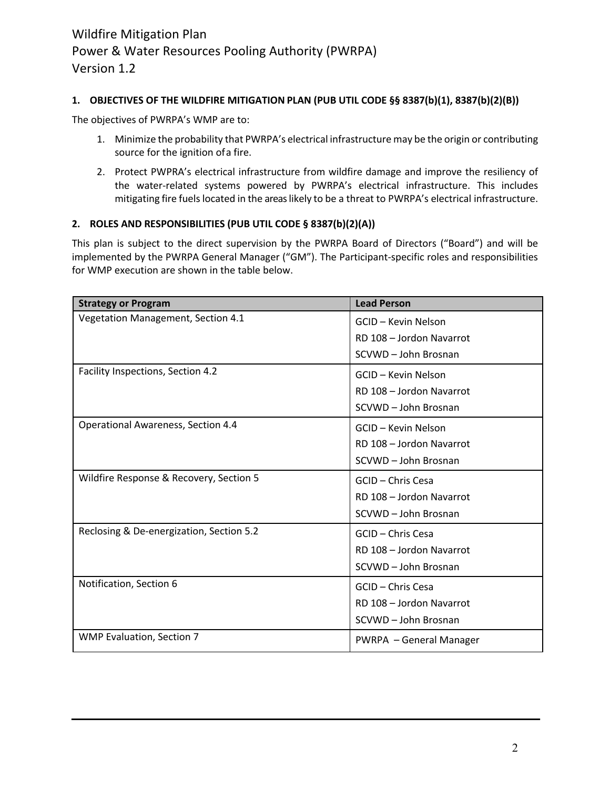#### **1. OBJECTIVES OF THE WILDFIRE MITIGATION PLAN (PUB UTIL CODE §§ 8387(b)(1), 8387(b)(2)(B))**

The objectives of PWRPA's WMP are to:

- 1. Minimize the probability that PWRPA's electrical infrastructure may be the origin or contributing source for the ignition ofa fire.
- 2. Protect PWPRA's electrical infrastructure from wildfire damage and improve the resiliency of the water-related systems powered by PWRPA's electrical infrastructure. This includes mitigating fire fuels located in the areas likely to be a threat to PWRPA's electrical infrastructure.

#### **2. ROLES AND RESPONSIBILITIES (PUB UTIL CODE § 8387(b)(2)(A))**

This plan is subject to the direct supervision by the PWRPA Board of Directors ("Board") and will be implemented by the PWRPA General Manager ("GM"). The Participant-specific roles and responsibilities for WMP execution are shown in the table below.

| <b>Strategy or Program</b>                | <b>Lead Person</b>       |
|-------------------------------------------|--------------------------|
| Vegetation Management, Section 4.1        | GCID - Kevin Nelson      |
|                                           | RD 108 - Jordon Navarrot |
|                                           | SCVWD - John Brosnan     |
| Facility Inspections, Section 4.2         | GCID - Kevin Nelson      |
|                                           | RD 108 - Jordon Navarrot |
|                                           | SCVWD - John Brosnan     |
| <b>Operational Awareness, Section 4.4</b> | GCID - Kevin Nelson      |
|                                           | RD 108 - Jordon Navarrot |
|                                           | SCVWD - John Brosnan     |
| Wildfire Response & Recovery, Section 5   | GCID - Chris Cesa        |
|                                           | RD 108 - Jordon Navarrot |
|                                           | SCVWD - John Brosnan     |
| Reclosing & De-energization, Section 5.2  | GCID - Chris Cesa        |
|                                           | RD 108 - Jordon Navarrot |
|                                           | SCVWD - John Brosnan     |
| Notification, Section 6                   | GCID - Chris Cesa        |
|                                           | RD 108 - Jordon Navarrot |
|                                           | SCVWD - John Brosnan     |
| <b>WMP Evaluation, Section 7</b>          | PWRPA - General Manager  |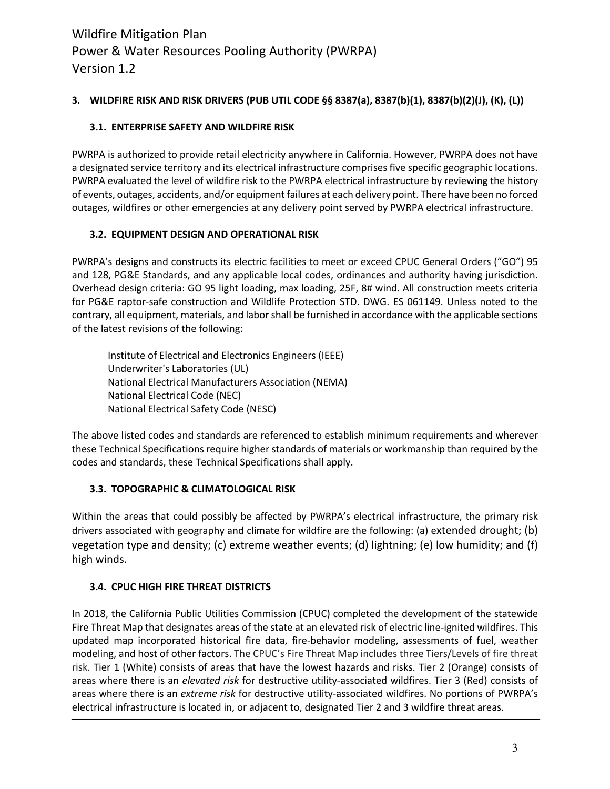# **3. WILDFIRE RISK AND RISK DRIVERS (PUB UTIL CODE §§ 8387(a), 8387(b)(1), 8387(b)(2)(J), (K), (L))**

# **3.1. ENTERPRISE SAFETY AND WILDFIRE RISK**

PWRPA is authorized to provide retail electricity anywhere in California. However, PWRPA does not have a designated service territory and its electrical infrastructure comprises five specific geographic locations. PWRPA evaluated the level of wildfire risk to the PWRPA electrical infrastructure by reviewing the history of events, outages, accidents, and/or equipment failures at each delivery point. There have been no forced outages, wildfires or other emergencies at any delivery point served by PWRPA electrical infrastructure.

#### **3.2. EQUIPMENT DESIGN AND OPERATIONAL RISK**

PWRPA's designs and constructs its electric facilities to meet or exceed CPUC General Orders ("GO") 95 and 128, PG&E Standards, and any applicable local codes, ordinances and authority having jurisdiction. Overhead design criteria: GO 95 light loading, max loading, 25F, 8# wind. All construction meets criteria for PG&E raptor-safe construction and Wildlife Protection STD. DWG. ES 061149. Unless noted to the contrary, all equipment, materials, and labor shall be furnished in accordance with the applicable sections of the latest revisions of the following:

Institute of Electrical and Electronics Engineers (IEEE) Underwriter's Laboratories (UL) National Electrical Manufacturers Association (NEMA) National Electrical Code (NEC) National Electrical Safety Code (NESC)

The above listed codes and standards are referenced to establish minimum requirements and wherever these Technical Specifications require higher standards of materials or workmanship than required by the codes and standards, these Technical Specifications shall apply.

# **3.3. TOPOGRAPHIC & CLIMATOLOGICAL RISK**

Within the areas that could possibly be affected by PWRPA's electrical infrastructure, the primary risk drivers associated with geography and climate for wildfire are the following: (a) extended drought; (b) vegetation type and density; (c) extreme weather events; (d) lightning; (e) low humidity; and (f) high winds.

# **3.4. CPUC HIGH FIRE THREAT DISTRICTS**

In 2018, the California Public Utilities Commission (CPUC) completed the development of the statewide Fire Threat Map that designates areas of the state at an elevated risk of electric line-ignited wildfires. This updated map incorporated historical fire data, fire-behavior modeling, assessments of fuel, weather modeling, and host of other factors. The CPUC's Fire Threat Map includes three Tiers/Levels of fire threat risk. Tier 1 (White) consists of areas that have the lowest hazards and risks. Tier 2 (Orange) consists of areas where there is an *elevated risk* for destructive utility-associated wildfires. Tier 3 (Red) consists of areas where there is an *extreme risk* for destructive utility-associated wildfires. No portions of PWRPA's electrical infrastructure is located in, or adjacent to, designated Tier 2 and 3 wildfire threat areas.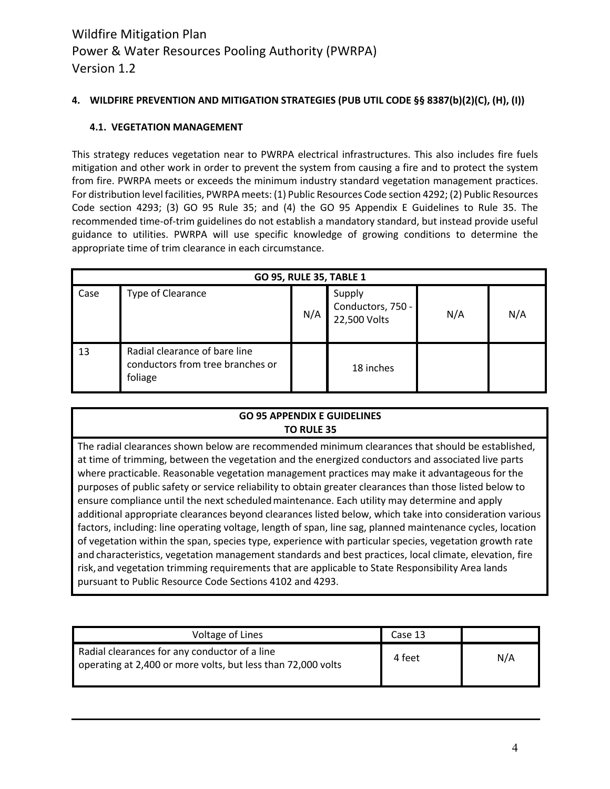# **4. WILDFIRE PREVENTION AND MITIGATION STRATEGIES (PUB UTIL CODE §§ 8387(b)(2)(C), (H), (I))**

#### **4.1. VEGETATION MANAGEMENT**

This strategy reduces vegetation near to PWRPA electrical infrastructures. This also includes fire fuels mitigation and other work in order to prevent the system from causing a fire and to protect the system from fire. PWRPA meets or exceeds the minimum industry standard vegetation management practices. For distribution level facilities, PWRPA meets: (1) Public Resources Code section 4292; (2) Public Resources Code section 4293; (3) GO 95 Rule 35; and (4) the GO 95 Appendix E Guidelines to Rule 35. The recommended time-of-trim guidelines do not establish a mandatory standard, but instead provide useful guidance to utilities. PWRPA will use specific knowledge of growing conditions to determine the appropriate time of trim clearance in each circumstance.

| <b>GO 95, RULE 35, TABLE 1</b> |                                                                              |     |                                             |     |     |  |  |
|--------------------------------|------------------------------------------------------------------------------|-----|---------------------------------------------|-----|-----|--|--|
| Case                           | Type of Clearance                                                            | N/A | Supply<br>Conductors, 750 -<br>22,500 Volts | N/A | N/A |  |  |
| 13                             | Radial clearance of bare line<br>conductors from tree branches or<br>foliage |     | 18 inches                                   |     |     |  |  |

# **GO 95 APPENDIX E GUIDELINES TO RULE 35**

The radial clearances shown below are recommended minimum clearances that should be established, at time of trimming, between the vegetation and the energized conductors and associated live parts where practicable. Reasonable vegetation management practices may make it advantageous for the purposes of public safety or service reliability to obtain greater clearances than those listed below to ensure compliance until the next scheduledmaintenance. Each utility may determine and apply additional appropriate clearances beyond clearances listed below, which take into consideration various factors, including: line operating voltage, length of span, line sag, planned maintenance cycles, location of vegetation within the span, species type, experience with particular species, vegetation growth rate and characteristics, vegetation management standards and best practices, local climate, elevation, fire risk, and vegetation trimming requirements that are applicable to State Responsibility Area lands pursuant to Public Resource Code Sections 4102 and 4293.

| Voltage of Lines                                                                                              | Case 13 |     |
|---------------------------------------------------------------------------------------------------------------|---------|-----|
| Radial clearances for any conductor of a line<br>operating at 2,400 or more volts, but less than 72,000 volts | 4 feet  | N/A |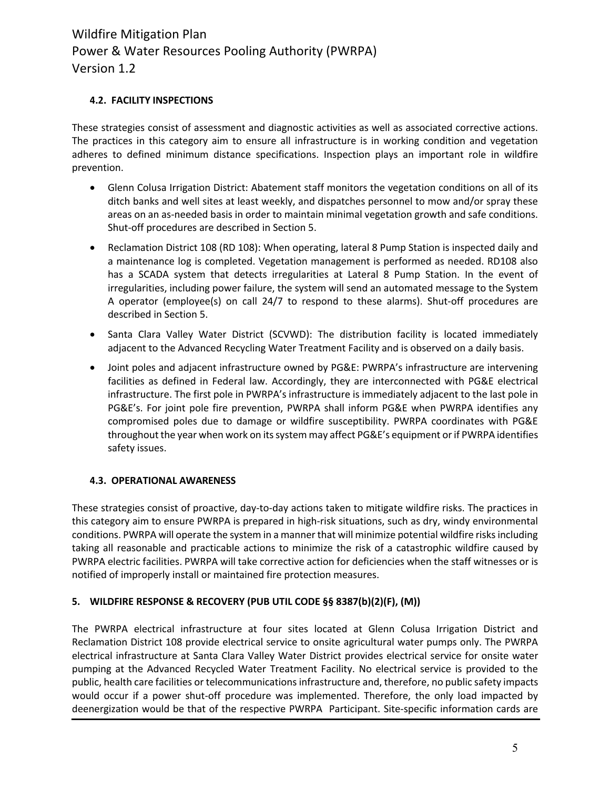#### **4.2. FACILITY INSPECTIONS**

These strategies consist of assessment and diagnostic activities as well as associated corrective actions. The practices in this category aim to ensure all infrastructure is in working condition and vegetation adheres to defined minimum distance specifications. Inspection plays an important role in wildfire prevention.

- Glenn Colusa Irrigation District: Abatement staff monitors the vegetation conditions on all of its ditch banks and well sites at least weekly, and dispatches personnel to mow and/or spray these areas on an as-needed basis in order to maintain minimal vegetation growth and safe conditions. Shut-off procedures are described in Section 5.
- Reclamation District 108 (RD 108): When operating, lateral 8 Pump Station is inspected daily and a maintenance log is completed. Vegetation management is performed as needed. RD108 also has a SCADA system that detects irregularities at Lateral 8 Pump Station. In the event of irregularities, including power failure, the system will send an automated message to the System A operator (employee(s) on call 24/7 to respond to these alarms). Shut-off procedures are described in Section 5.
- Santa Clara Valley Water District (SCVWD): The distribution facility is located immediately adjacent to the Advanced Recycling Water Treatment Facility and is observed on a daily basis.
- Joint poles and adjacent infrastructure owned by PG&E: PWRPA's infrastructure are intervening facilities as defined in Federal law. Accordingly, they are interconnected with PG&E electrical infrastructure. The first pole in PWRPA's infrastructure is immediately adjacent to the last pole in PG&E's. For joint pole fire prevention, PWRPA shall inform PG&E when PWRPA identifies any compromised poles due to damage or wildfire susceptibility. PWRPA coordinates with PG&E throughout the year when work on its system may affect PG&E's equipment or if PWRPA identifies safety issues.

#### **4.3. OPERATIONAL AWARENESS**

These strategies consist of proactive, day-to-day actions taken to mitigate wildfire risks. The practices in this category aim to ensure PWRPA is prepared in high-risk situations, such as dry, windy environmental conditions. PWRPA will operate the system in a manner that will minimize potential wildfire risks including taking all reasonable and practicable actions to minimize the risk of a catastrophic wildfire caused by PWRPA electric facilities. PWRPA will take corrective action for deficiencies when the staff witnesses or is notified of improperly install or maintained fire protection measures.

#### **5. WILDFIRE RESPONSE & RECOVERY (PUB UTIL CODE §§ 8387(b)(2)(F), (M))**

The PWRPA electrical infrastructure at four sites located at Glenn Colusa Irrigation District and Reclamation District 108 provide electrical service to onsite agricultural water pumps only. The PWRPA electrical infrastructure at Santa Clara Valley Water District provides electrical service for onsite water pumping at the Advanced Recycled Water Treatment Facility. No electrical service is provided to the public, health care facilities or telecommunications infrastructure and, therefore, no public safety impacts would occur if a power shut-off procedure was implemented. Therefore, the only load impacted by deenergization would be that of the respective PWRPA Participant. Site-specific information cards are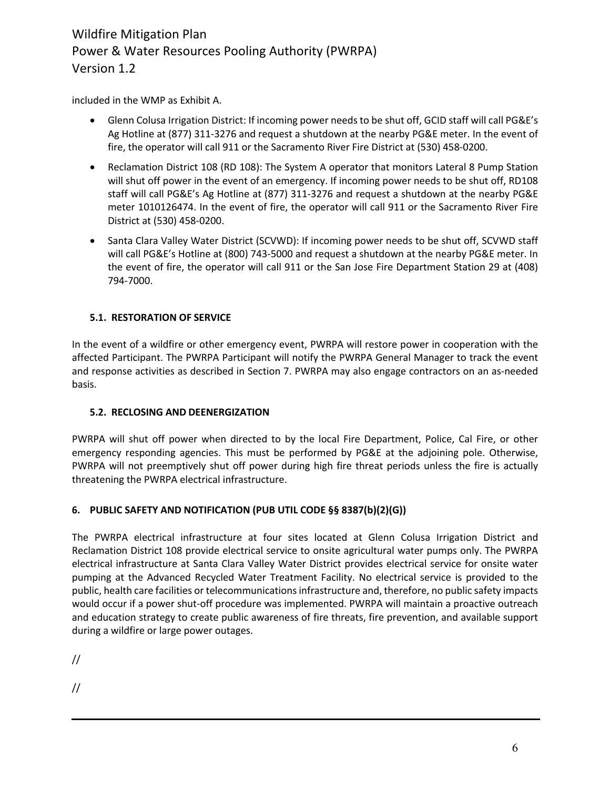included in the WMP as Exhibit A.

- Glenn Colusa Irrigation District: If incoming power needs to be shut off, GCID staff will call PG&E's Ag Hotline at (877) 311-3276 and request a shutdown at the nearby PG&E meter. In the event of fire, the operator will call 911 or the Sacramento River Fire District at (530) 458-0200.
- Reclamation District 108 (RD 108): The System A operator that monitors Lateral 8 Pump Station will shut off power in the event of an emergency. If incoming power needs to be shut off, RD108 staff will call PG&E's Ag Hotline at (877) 311-3276 and request a shutdown at the nearby PG&E meter 1010126474. In the event of fire, the operator will call 911 or the Sacramento River Fire District at (530) 458-0200.
- Santa Clara Valley Water District (SCVWD): If incoming power needs to be shut off, SCVWD staff will call PG&E's Hotline at (800) 743-5000 and request a shutdown at the nearby PG&E meter. In the event of fire, the operator will call 911 or the San Jose Fire Department Station 29 at (408) 794-7000.

# **5.1. RESTORATION OF SERVICE**

In the event of a wildfire or other emergency event, PWRPA will restore power in cooperation with the affected Participant. The PWRPA Participant will notify the PWRPA General Manager to track the event and response activities as described in Section 7. PWRPA may also engage contractors on an as-needed basis.

# **5.2. RECLOSING AND DEENERGIZATION**

PWRPA will shut off power when directed to by the local Fire Department, Police, Cal Fire, or other emergency responding agencies. This must be performed by PG&E at the adjoining pole. Otherwise, PWRPA will not preemptively shut off power during high fire threat periods unless the fire is actually threatening the PWRPA electrical infrastructure.

# **6. PUBLIC SAFETY AND NOTIFICATION (PUB UTIL CODE §§ 8387(b)(2)(G))**

The PWRPA electrical infrastructure at four sites located at Glenn Colusa Irrigation District and Reclamation District 108 provide electrical service to onsite agricultural water pumps only. The PWRPA electrical infrastructure at Santa Clara Valley Water District provides electrical service for onsite water pumping at the Advanced Recycled Water Treatment Facility. No electrical service is provided to the public, health care facilities or telecommunications infrastructure and, therefore, no public safety impacts would occur if a power shut-off procedure was implemented. PWRPA will maintain a proactive outreach and education strategy to create public awareness of fire threats, fire prevention, and available support during a wildfire or large power outages.

//

//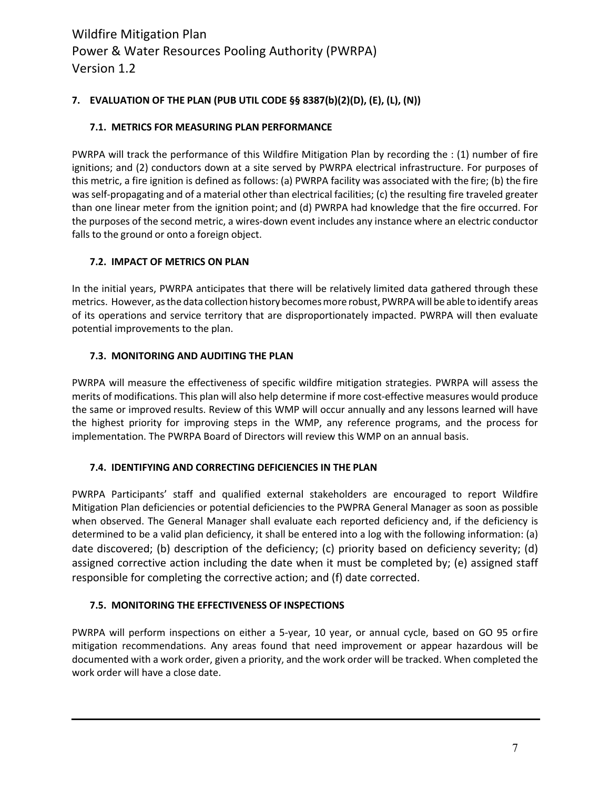# **7. EVALUATION OF THE PLAN (PUB UTIL CODE §§ 8387(b)(2)(D), (E), (L), (N))**

# **7.1. METRICS FOR MEASURING PLAN PERFORMANCE**

PWRPA will track the performance of this Wildfire Mitigation Plan by recording the : (1) number of fire ignitions; and (2) conductors down at a site served by PWRPA electrical infrastructure. For purposes of this metric, a fire ignition is defined as follows: (a) PWRPA facility was associated with the fire; (b) the fire wasself-propagating and of a material other than electrical facilities; (c) the resulting fire traveled greater than one linear meter from the ignition point; and (d) PWRPA had knowledge that the fire occurred. For the purposes of the second metric, a wires-down event includes any instance where an electric conductor falls to the ground or onto a foreign object.

#### **7.2. IMPACT OF METRICS ON PLAN**

In the initial years, PWRPA anticipates that there will be relatively limited data gathered through these metrics. However, asthe data collection historybecomesmore robust, PWRPA will be able to identify areas of its operations and service territory that are disproportionately impacted. PWRPA will then evaluate potential improvements to the plan.

# **7.3. MONITORING AND AUDITING THE PLAN**

PWRPA will measure the effectiveness of specific wildfire mitigation strategies. PWRPA will assess the merits of modifications. This plan will also help determine if more cost-effective measures would produce the same or improved results. Review of this WMP will occur annually and any lessons learned will have the highest priority for improving steps in the WMP, any reference programs, and the process for implementation. The PWRPA Board of Directors will review this WMP on an annual basis.

#### **7.4. IDENTIFYING AND CORRECTING DEFICIENCIES IN THE PLAN**

PWRPA Participants' staff and qualified external stakeholders are encouraged to report Wildfire Mitigation Plan deficiencies or potential deficiencies to the PWPRA General Manager as soon as possible when observed. The General Manager shall evaluate each reported deficiency and, if the deficiency is determined to be a valid plan deficiency, it shall be entered into a log with the following information: (a) date discovered; (b) description of the deficiency; (c) priority based on deficiency severity; (d) assigned corrective action including the date when it must be completed by; (e) assigned staff responsible for completing the corrective action; and (f) date corrected.

# **7.5. MONITORING THE EFFECTIVENESS OF INSPECTIONS**

PWRPA will perform inspections on either a 5-year, 10 year, or annual cycle, based on GO 95 orfire mitigation recommendations. Any areas found that need improvement or appear hazardous will be documented with a work order, given a priority, and the work order will be tracked. When completed the work order will have a close date.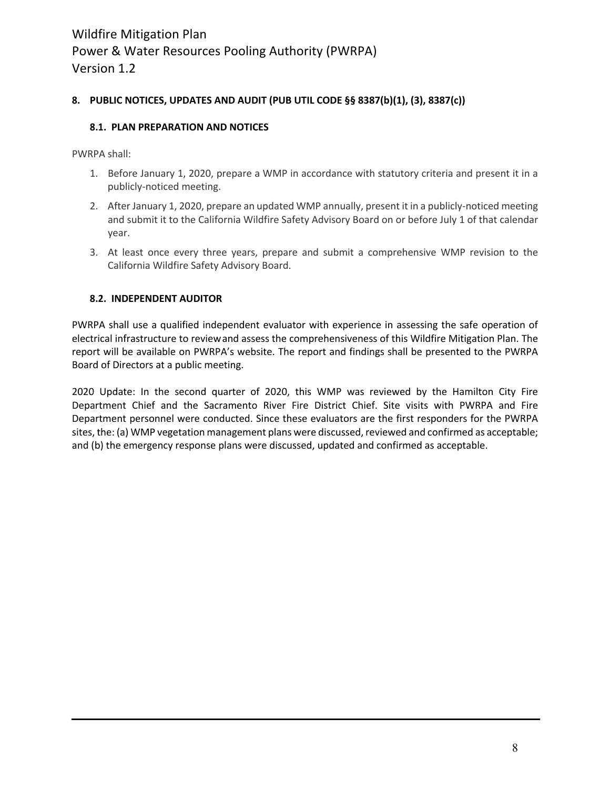# **8. PUBLIC NOTICES, UPDATES AND AUDIT (PUB UTIL CODE §§ 8387(b)(1), (3), 8387(c))**

#### **8.1. PLAN PREPARATION AND NOTICES**

PWRPA shall:

- 1. Before January 1, 2020, prepare a WMP in accordance with statutory criteria and present it in a publicly-noticed meeting.
- 2. After January 1, 2020, prepare an updated WMP annually, present it in a publicly-noticed meeting and submit it to the California Wildfire Safety Advisory Board on or before July 1 of that calendar year.
- 3. At least once every three years, prepare and submit a comprehensive WMP revision to the California Wildfire Safety Advisory Board.

#### **8.2. INDEPENDENT AUDITOR**

PWRPA shall use a qualified independent evaluator with experience in assessing the safe operation of electrical infrastructure to reviewand assess the comprehensiveness of this Wildfire Mitigation Plan. The report will be available on PWRPA's website. The report and findings shall be presented to the PWRPA Board of Directors at a public meeting.

2020 Update: In the second quarter of 2020, this WMP was reviewed by the Hamilton City Fire Department Chief and the Sacramento River Fire District Chief. Site visits with PWRPA and Fire Department personnel were conducted. Since these evaluators are the first responders for the PWRPA sites, the: (a) WMP vegetation management plans were discussed, reviewed and confirmed as acceptable; and (b) the emergency response plans were discussed, updated and confirmed as acceptable.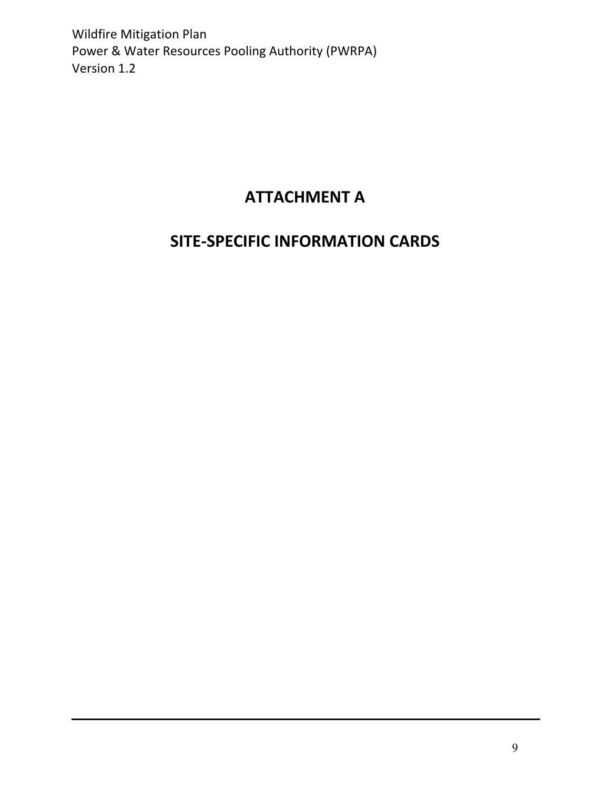# **ATTACHMENT A**

# **SITE-SPECIFIC INFORMATION CARDS**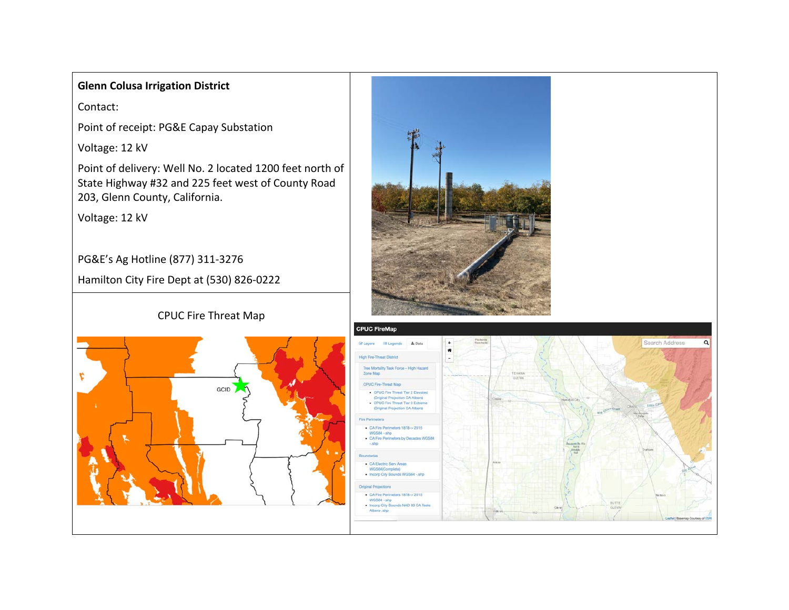# **Glenn Colusa Irrigation District**

Contact:

Point of receipt: PG&E Capay Substation

Voltage: 12 kV

Point of delivery: Well No. 2 located 1200 feet north of State Highway #32 and 225 feet west of County Road 203, Glenn County, California.

Voltage: 12 kV

PG&E's Ag Hotline (877) 311-3276

Hamilton City Fire Dept at (530) 826-0222



CPUC Fire Threat Map

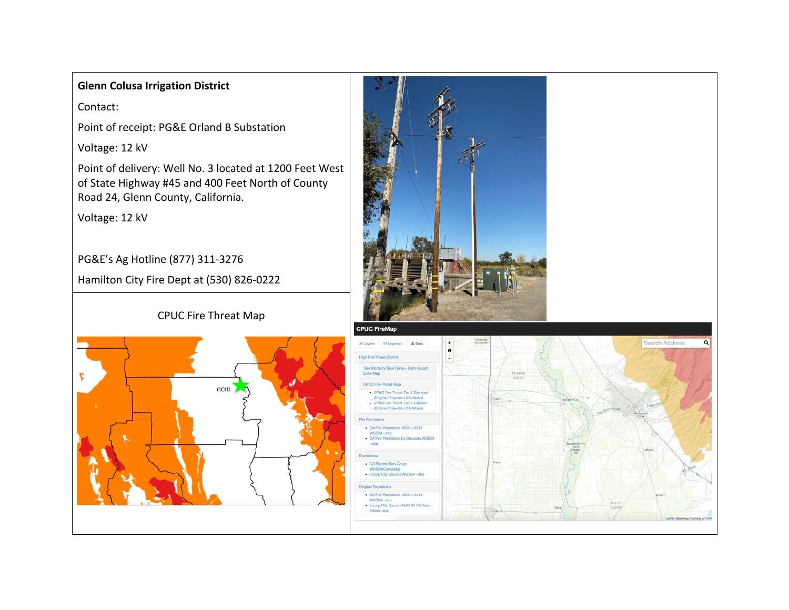# **Glenn Colusa Irrigation District**

Contact:

Point of receipt: PG&E Orland B Substation

Voltage: 12 kV

Point of delivery: Well No. 3 located at 1200 Feet West of State Highway #45 and 400 Feet North of County Road 24, Glenn County, California.

Voltage: 12 kV

PG&E's Ag Hotline (877) 311-3276

Hamilton City Fire Dept at (530) 826-0222

# c GCID

CPUC Fire Threat Map

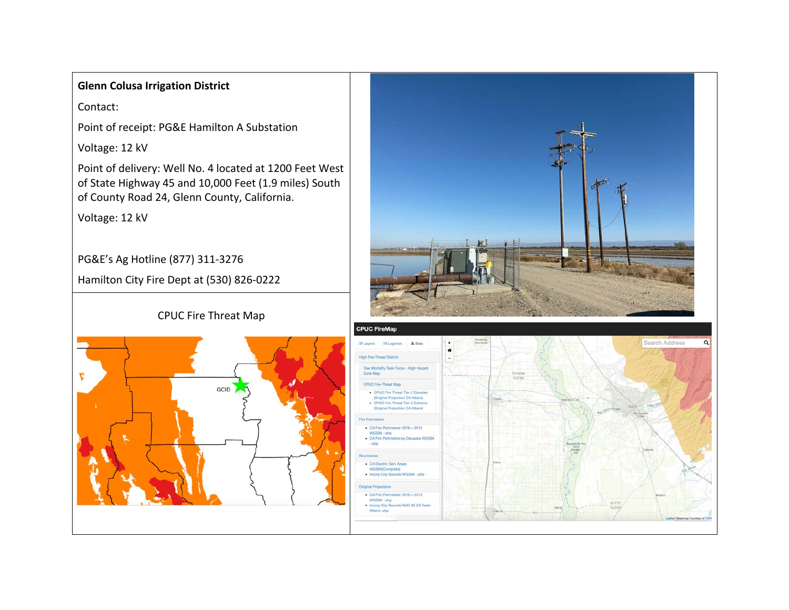# **Glenn Colusa Irrigation District**

Contact:

Point of receipt: PG&E Hamilton A Substation

Voltage: 12 kV

Point of delivery: Well No. 4 located at 1200 Feet West of State Highway 45 and 10,000 Feet (1.9 miles) South of County Road 24, Glenn County, California.

Voltage: 12 kV

PG&E's Ag Hotline (877) 311-3276

Hamilton City Fire Dept at (530) 826-0222



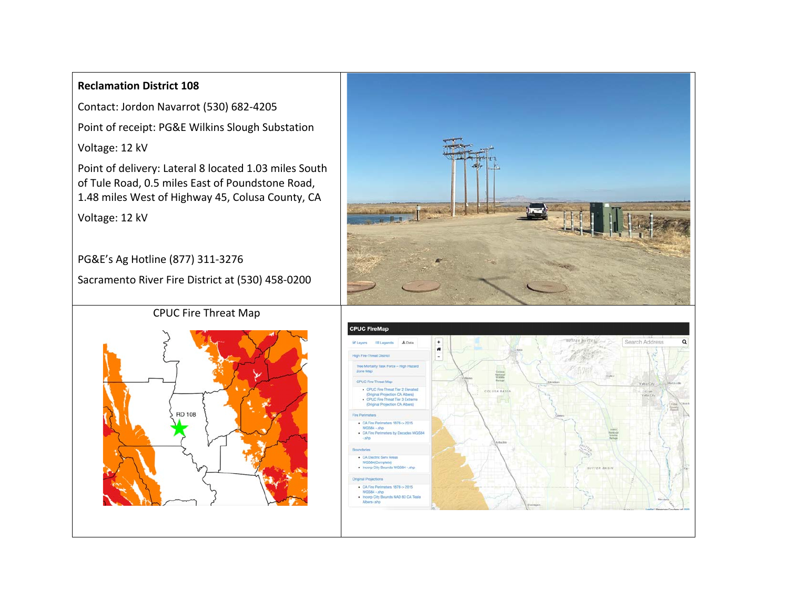# **Reclamation District 108**

Contact: Jordon Navarrot (530) 682-4205

Point of receipt: PG&E Wilkins Slough Substation

Voltage: 12 kV

Point of delivery: Lateral 8 located 1.03 miles South of Tule Road, 0.5 miles East of Poundstone Road, 1.48 miles West of Highway 45, Colusa County, CA

Voltage: 12 kV

PG&E's Ag Hotline (877) 311-3276

Sacramento River Fire District at (530) 458-0200